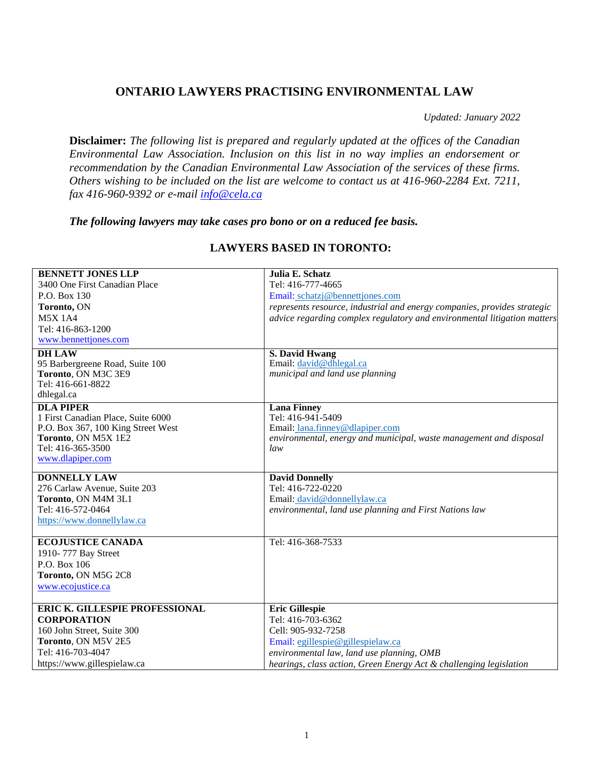## **ONTARIO LAWYERS PRACTISING ENVIRONMENTAL LAW**

*Updated: January 2022*

**Disclaimer:** *The following list is prepared and regularly updated at the offices of the Canadian Environmental Law Association. Inclusion on this list in no way implies an endorsement or recommendation by the Canadian Environmental Law Association of the services of these firms. Others wishing to be included on the list are welcome to contact us at 416-960-2284 Ext. 7211, fax 416-960-9392 or e-mail [info@cela.ca](mailto:admin@cela.ca)*

*The following lawyers may take cases pro bono or on a reduced fee basis.*

| <b>BENNETT JONES LLP</b>                 | Julia E. Schatz                                                                |
|------------------------------------------|--------------------------------------------------------------------------------|
| 3400 One First Canadian Place            | Tel: 416-777-4665                                                              |
| P.O. Box 130                             | Email: schatzj@bennettjones.com                                                |
| Toronto, ON                              | represents resource, industrial and energy companies, provides strategic       |
| <b>M5X 1A4</b>                           | advice regarding complex regulatory and environmental litigation matters       |
| Tel: 416-863-1200                        |                                                                                |
| www.bennettjones.com                     |                                                                                |
| <b>DH LAW</b>                            | S. David Hwang                                                                 |
| 95 Barbergreene Road, Suite 100          | Email: david@dhlegal.ca                                                        |
| Toronto, ON M3C 3E9                      | municipal and land use planning                                                |
| Tel: 416-661-8822                        |                                                                                |
| dhlegal.ca                               |                                                                                |
| <b>DLA PIPER</b>                         | <b>Lana Finney</b>                                                             |
| 1 First Canadian Place, Suite 6000       | Tel: 416-941-5409                                                              |
| P.O. Box 367, 100 King Street West       | Email: lana.finney@dlapiper.com                                                |
| Toronto, ON M5X 1E2                      | environmental, energy and municipal, waste management and disposal             |
| Tel: 416-365-3500                        | law                                                                            |
| www.dlapiper.com                         |                                                                                |
| <b>DONNELLY LAW</b>                      | <b>David Donnelly</b>                                                          |
| 276 Carlaw Avenue, Suite 203             | Tel: 416-722-0220                                                              |
| Toronto, ON M4M 3L1                      | Email: david@donnellylaw.ca                                                    |
| Tel: 416-572-0464                        | environmental, land use planning and First Nations law                         |
| https://www.donnellylaw.ca               |                                                                                |
|                                          |                                                                                |
| <b>ECOJUSTICE CANADA</b>                 | Tel: 416-368-7533                                                              |
| 1910-777 Bay Street                      |                                                                                |
| P.O. Box 106                             |                                                                                |
| Toronto, ON M5G 2C8                      |                                                                                |
| www.ecojustice.ca                        |                                                                                |
|                                          |                                                                                |
|                                          |                                                                                |
| ERIC K. GILLESPIE PROFESSIONAL           | <b>Eric Gillespie</b>                                                          |
| <b>CORPORATION</b>                       | Tel: 416-703-6362                                                              |
| 160 John Street, Suite 300               | Cell: 905-932-7258                                                             |
| Toronto, ON M5V 2E5<br>Tel: 416-703-4047 | Email: egillespie@gillespielaw.ca<br>environmental law, land use planning, OMB |

## **LAWYERS BASED IN TORONTO:**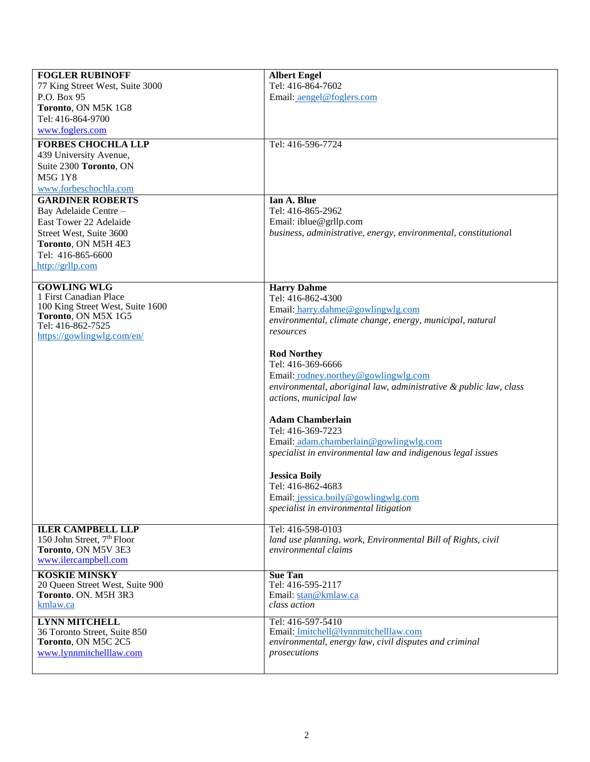| <b>FOGLER RUBINOFF</b>                   | <b>Albert Engel</b>                                               |
|------------------------------------------|-------------------------------------------------------------------|
| 77 King Street West, Suite 3000          | Tel: 416-864-7602                                                 |
| P.O. Box 95                              | Email: aengel@foglers.com                                         |
| Toronto, ON M5K 1G8                      |                                                                   |
| Tel: 416-864-9700                        |                                                                   |
| www.foglers.com                          |                                                                   |
| <b>FORBES CHOCHLA LLP</b>                | Tel: 416-596-7724                                                 |
| 439 University Avenue,                   |                                                                   |
| Suite 2300 Toronto, ON                   |                                                                   |
| <b>M5G 1Y8</b>                           |                                                                   |
| www.forbeschochla.com                    |                                                                   |
| <b>GARDINER ROBERTS</b>                  | Ian A. Blue                                                       |
| Bay Adelaide Centre -                    | Tel: 416-865-2962                                                 |
| East Tower 22 Adelaide                   | Email: iblue@grllp.com                                            |
| Street West, Suite 3600                  | business, administrative, energy, environmental, constitutional   |
| Toronto, ON M5H 4E3<br>Tel: 416-865-6600 |                                                                   |
| http://grllp.com                         |                                                                   |
|                                          |                                                                   |
| <b>GOWLING WLG</b>                       | <b>Harry Dahme</b>                                                |
| 1 First Canadian Place                   | Tel: 416-862-4300                                                 |
| 100 King Street West, Suite 1600         | Email: harry.dahme@gowlingwlg.com                                 |
| Toronto, ON M5X 1G5<br>Tel: 416-862-7525 | environmental, climate change, energy, municipal, natural         |
| https://gowlingwlg.com/en/               | resources                                                         |
|                                          |                                                                   |
|                                          | <b>Rod Northey</b>                                                |
|                                          | Tel: 416-369-6666                                                 |
|                                          | Email: rodney.northey@gowlingwlg.com                              |
|                                          | environmental, aboriginal law, administrative & public law, class |
|                                          | actions, municipal law                                            |
|                                          |                                                                   |
|                                          | <b>Adam Chamberlain</b>                                           |
|                                          | Tel: 416-369-7223                                                 |
|                                          | Email: adam.chamberlain@gowlingwlg.com                            |
|                                          | specialist in environmental law and indigenous legal issues       |
|                                          | <b>Jessica Boily</b>                                              |
|                                          | Tel: 416-862-4683                                                 |
|                                          | Email: jessica.boily@gowlingwlg.com                               |
|                                          | specialist in environmental litigation                            |
|                                          |                                                                   |
| <b>ILER CAMPBELL LLP</b>                 | Tel: 416-598-0103                                                 |
| 150 John Street, 7th Floor               | land use planning, work, Environmental Bill of Rights, civil      |
| Toronto, ON M5V 3E3                      | environmental claims                                              |
| www.ilercampbell.com                     |                                                                   |
| <b>KOSKIE MINSKY</b>                     | <b>Sue Tan</b>                                                    |
| 20 Queen Street West, Suite 900          | Tel: 416-595-2117                                                 |
| Toronto, ON. M5H 3R3                     | Email: stan@kmlaw.ca<br>class action                              |
| kmlaw.ca                                 |                                                                   |
| <b>LYNN MITCHELL</b>                     | Tel: 416-597-5410                                                 |
| 36 Toronto Street, Suite 850             | Email: Imitchell@lynnmitchelllaw.com                              |
| Toronto, ON M5C 2C5                      | environmental, energy law, civil disputes and criminal            |
| www.lynnmitchelllaw.com                  | prosecutions                                                      |
|                                          |                                                                   |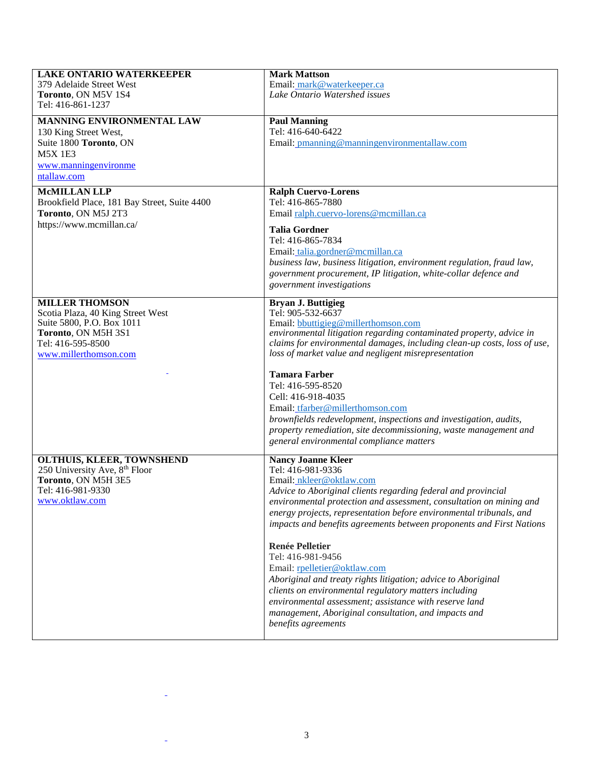| <b>LAKE ONTARIO WATERKEEPER</b><br>379 Adelaide Street West<br>Toronto, ON M5V 1S4<br>Tel: 416-861-1237                                                      | <b>Mark Mattson</b><br>Email: mark@waterkeeper.ca<br>Lake Ontario Watershed issues                                                                                                                                                                                                                                                                                                                                                                                                                                                                                                                                                                                                                                  |
|--------------------------------------------------------------------------------------------------------------------------------------------------------------|---------------------------------------------------------------------------------------------------------------------------------------------------------------------------------------------------------------------------------------------------------------------------------------------------------------------------------------------------------------------------------------------------------------------------------------------------------------------------------------------------------------------------------------------------------------------------------------------------------------------------------------------------------------------------------------------------------------------|
| <b>MANNING ENVIRONMENTAL LAW</b><br>130 King Street West,<br>Suite 1800 Toronto, ON<br><b>M5X 1E3</b><br>www.manningenvironme<br>ntallaw.com                 | <b>Paul Manning</b><br>Tel: 416-640-6422<br>Email: pmanning@manningenvironmentallaw.com                                                                                                                                                                                                                                                                                                                                                                                                                                                                                                                                                                                                                             |
| <b>McMILLAN LLP</b><br>Brookfield Place, 181 Bay Street, Suite 4400<br>Toronto, ON M5J 2T3<br>https://www.mcmillan.ca/                                       | <b>Ralph Cuervo-Lorens</b><br>Tel: 416-865-7880<br>Email ralph.cuervo-lorens@mcmillan.ca<br><b>Talia Gordner</b><br>Tel: 416-865-7834<br>Email: talia.gordner@mcmillan.ca<br>business law, business litigation, environment regulation, fraud law,<br>government procurement, IP litigation, white-collar defence and<br>government investigations                                                                                                                                                                                                                                                                                                                                                                  |
| <b>MILLER THOMSON</b><br>Scotia Plaza, 40 King Street West<br>Suite 5800, P.O. Box 1011<br>Toronto, ON M5H 3S1<br>Tel: 416-595-8500<br>www.millerthomson.com | <b>Bryan J. Buttigieg</b><br>Tel: 905-532-6637<br>Email: bbuttigieg@millerthomson.com<br>environmental litigation regarding contaminated property, advice in<br>claims for environmental damages, including clean-up costs, loss of use,<br>loss of market value and negligent misrepresentation<br><b>Tamara Farber</b><br>Tel: 416-595-8520<br>Cell: 416-918-4035<br>Email: tfarber@millerthomson.com<br>brownfields redevelopment, inspections and investigation, audits,<br>property remediation, site decommissioning, waste management and<br>general environmental compliance matters                                                                                                                        |
| <b>OLTHUIS, KLEER, TOWNSHEND</b><br>250 University Ave, 8th Floor<br>Toronto, ON M5H 3E5<br>Tel: 416-981-9330<br>www.oktlaw.com                              | <b>Nancy Joanne Kleer</b><br>Tel: 416-981-9336<br>Email: nkleer@oktlaw.com<br>Advice to Aboriginal clients regarding federal and provincial<br>environmental protection and assessment, consultation on mining and<br>energy projects, representation before environmental tribunals, and<br>impacts and benefits agreements between proponents and First Nations<br><b>Renée Pelletier</b><br>Tel: 416-981-9456<br>Email: rpelletier@oktlaw.com<br>Aboriginal and treaty rights litigation; advice to Aboriginal<br>clients on environmental regulatory matters including<br>environmental assessment; assistance with reserve land<br>management, Aboriginal consultation, and impacts and<br>benefits agreements |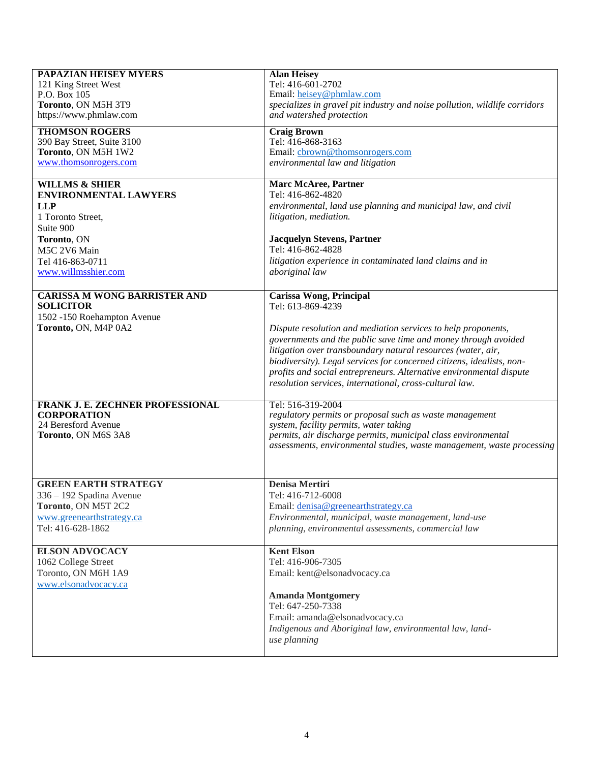| <b>PAPAZIAN HEISEY MYERS</b>            | <b>Alan Heisey</b>                                                         |
|-----------------------------------------|----------------------------------------------------------------------------|
| 121 King Street West                    | Tel: 416-601-2702                                                          |
| P.O. Box 105                            | Email: heisey@phmlaw.com                                                   |
| Toronto, ON M5H 3T9                     | specializes in gravel pit industry and noise pollution, wildlife corridors |
| https://www.phmlaw.com                  | and watershed protection                                                   |
| <b>THOMSON ROGERS</b>                   | <b>Craig Brown</b>                                                         |
| 390 Bay Street, Suite 3100              | Tel: 416-868-3163                                                          |
| Toronto, ON M5H 1W2                     | Email: cbrown@thomsonrogers.com                                            |
| www.thomsonrogers.com                   | environmental law and litigation                                           |
| <b>WILLMS &amp; SHIER</b>               | <b>Marc McAree, Partner</b>                                                |
| <b>ENVIRONMENTAL LAWYERS</b>            | Tel: 416-862-4820                                                          |
| <b>LLP</b>                              | environmental, land use planning and municipal law, and civil              |
| 1 Toronto Street,                       | litigation, mediation.                                                     |
| Suite 900                               |                                                                            |
| Toronto, ON                             | <b>Jacquelyn Stevens, Partner</b>                                          |
|                                         | Tel: 416-862-4828                                                          |
| M5C 2V6 Main                            |                                                                            |
| Tel 416-863-0711                        | litigation experience in contaminated land claims and in                   |
| www.willmsshier.com                     | aboriginal law                                                             |
| <b>CARISSA M WONG BARRISTER AND</b>     | <b>Carissa Wong, Principal</b>                                             |
| <b>SOLICITOR</b>                        | Tel: 613-869-4239                                                          |
| 1502 -150 Roehampton Avenue             |                                                                            |
| Toronto, ON, M4P 0A2                    | Dispute resolution and mediation services to help proponents,              |
|                                         | governments and the public save time and money through avoided             |
|                                         | litigation over transboundary natural resources (water, air,               |
|                                         | biodiversity). Legal services for concerned citizens, idealists, non-      |
|                                         |                                                                            |
|                                         | profits and social entrepreneurs. Alternative environmental dispute        |
|                                         | resolution services, international, cross-cultural law.                    |
| <b>FRANK J. E. ZECHNER PROFESSIONAL</b> | Tel: 516-319-2004                                                          |
| <b>CORPORATION</b>                      | regulatory permits or proposal such as waste management                    |
| 24 Beresford Avenue                     | system, facility permits, water taking                                     |
| Toronto, ON M6S 3A8                     | permits, air discharge permits, municipal class environmental              |
|                                         | assessments, environmental studies, waste management, waste processing     |
|                                         |                                                                            |
|                                         |                                                                            |
| <b>GREEN EARTH STRATEGY</b>             | Denisa Mertiri                                                             |
| 336 - 192 Spadina Avenue                | Tel: 416-712-6008                                                          |
| Toronto, ON M5T 2C2                     | Email: denisa@greenearthstrategy.ca                                        |
| www.greenearthstrategy.ca               | Environmental, municipal, waste management, land-use                       |
| Tel: 416-628-1862                       | planning, environmental assessments, commercial law                        |
|                                         |                                                                            |
| <b>ELSON ADVOCACY</b>                   | <b>Kent Elson</b>                                                          |
| 1062 College Street                     | Tel: 416-906-7305                                                          |
| Toronto, ON M6H 1A9                     | Email: kent@elsonadvocacy.ca                                               |
| www.elsonadvocacy.ca                    |                                                                            |
|                                         | <b>Amanda Montgomery</b>                                                   |
|                                         | Tel: 647-250-7338                                                          |
|                                         | Email: amanda@elsonadvocacy.ca                                             |
|                                         | Indigenous and Aboriginal law, environmental law, land-                    |
|                                         | use planning                                                               |
|                                         |                                                                            |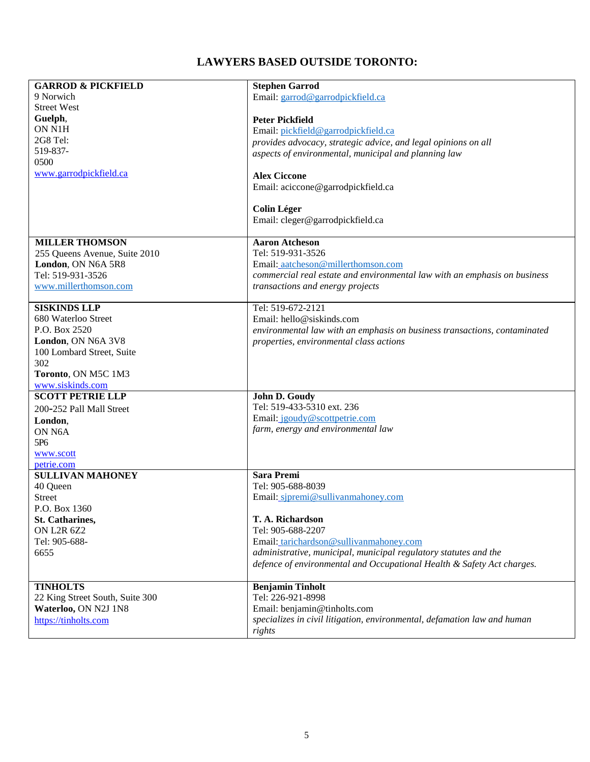## **LAWYERS BASED OUTSIDE TORONTO:**

| <b>GARROD &amp; PICKFIELD</b>   | <b>Stephen Garrod</b>                                                     |
|---------------------------------|---------------------------------------------------------------------------|
| 9 Norwich                       | Email: garrod@garrodpickfield.ca                                          |
| <b>Street West</b>              |                                                                           |
| Guelph,                         | <b>Peter Pickfield</b>                                                    |
| ON N1H                          |                                                                           |
| 2G8 Tel:                        | Email: pickfield@garrodpickfield.ca                                       |
| 519-837-                        | provides advocacy, strategic advice, and legal opinions on all            |
| 0500                            | aspects of environmental, municipal and planning law                      |
| www.garrodpickfield.ca          |                                                                           |
|                                 | <b>Alex Ciccone</b>                                                       |
|                                 | Email: aciccone@garrodpickfield.ca                                        |
|                                 | <b>Colin Léger</b>                                                        |
|                                 | Email: cleger@garrodpickfield.ca                                          |
|                                 |                                                                           |
| <b>MILLER THOMSON</b>           | <b>Aaron Atcheson</b>                                                     |
| 255 Queens Avenue, Suite 2010   | Tel: 519-931-3526                                                         |
| London, ON N6A 5R8              | Email: aatcheson@millerthomson.com                                        |
| Tel: 519-931-3526               | commercial real estate and environmental law with an emphasis on business |
| www.millerthomson.com           | transactions and energy projects                                          |
|                                 |                                                                           |
| <b>SISKINDS LLP</b>             | Tel: 519-672-2121                                                         |
| 680 Waterloo Street             | Email: hello@siskinds.com                                                 |
| P.O. Box 2520                   | environmental law with an emphasis on business transactions, contaminated |
| London, ON N6A 3V8              | properties, environmental class actions                                   |
| 100 Lombard Street, Suite       |                                                                           |
| 302                             |                                                                           |
| Toronto, ON M5C 1M3             |                                                                           |
| www.siskinds.com                |                                                                           |
| <b>SCOTT PETRIE LLP</b>         | John D. Goudy                                                             |
| 200-252 Pall Mall Street        | Tel: 519-433-5310 ext. 236                                                |
| London,                         | Email: jgoudy@scottpetrie.com                                             |
| ON N6A                          | farm, energy and environmental law                                        |
| 5P <sub>6</sub>                 |                                                                           |
| www.scott                       |                                                                           |
| petrie.com                      |                                                                           |
| <b>SULLIVAN MAHONEY</b>         | <b>Sara Premi</b>                                                         |
| 40 Queen                        | Tel: 905-688-8039                                                         |
| <b>Street</b>                   | Email: sipremi@sullivanmahoney.com                                        |
| P.O. Box 1360                   |                                                                           |
| St. Catharines,                 | T. A. Richardson                                                          |
| <b>ON L2R 6Z2</b>               | Tel: 905-688-2207                                                         |
| Tel: 905-688-                   | Email: tarichardson@sullivanmahoney.com                                   |
| 6655                            | administrative, municipal, municipal regulatory statutes and the          |
|                                 | defence of environmental and Occupational Health & Safety Act charges.    |
|                                 |                                                                           |
| <b>TINHOLTS</b>                 | <b>Benjamin Tinholt</b>                                                   |
| 22 King Street South, Suite 300 | Tel: 226-921-8998                                                         |
| Waterloo, ON N2J 1N8            | Email: benjamin@tinholts.com                                              |
| https://tinholts.com            | specializes in civil litigation, environmental, defamation law and human  |
|                                 | rights                                                                    |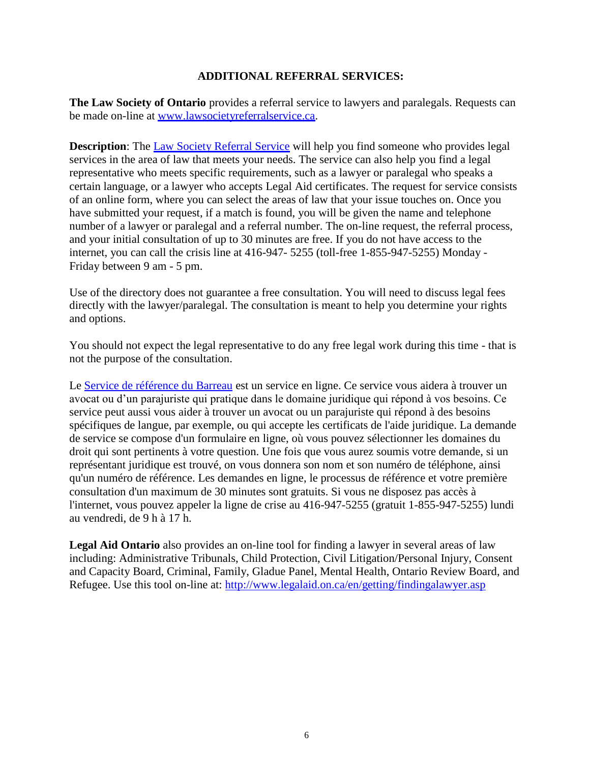## **ADDITIONAL REFERRAL SERVICES:**

**The Law Society of Ontario** provides a referral service to lawyers and paralegals. Requests can be made on-line at [www.lawsocietyreferralservice.ca.](http://www.lawsocietyreferralservice.ca/)

**Description**: The Law Society Referral Service will help you find someone who provides legal services in the area of law that meets your needs. The service can also help you find a legal representative who meets specific requirements, such as a lawyer or paralegal who speaks a certain language, or a lawyer who accepts Legal Aid certificates. The request for service consists of an online form, where you can select the areas of law that your issue touches on. Once you have submitted your request, if a match is found, you will be given the name and telephone number of a lawyer or paralegal and a referral number. The on-line request, the referral process, and your initial consultation of up to 30 minutes are free. If you do not have access to the internet, you can call the crisis line at 416-947- 5255 (toll-free 1-855-947-5255) Monday - Friday between 9 am - 5 pm.

Use of the directory does not guarantee a free consultation. You will need to discuss legal fees directly with the lawyer/paralegal. The consultation is meant to help you determine your rights and options.

You should not expect the legal representative to do any free legal work during this time - that is not the purpose of the consultation.

Le Service de référence du Barreau est un service en ligne. Ce service vous aidera à trouver un avocat ou d'un parajuriste qui pratique dans le domaine juridique qui répond à vos besoins. Ce service peut aussi vous aider à trouver un avocat ou un parajuriste qui répond à des besoins spécifiques de langue, par exemple, ou qui accepte les certificats de l'aide juridique. La demande de service se compose d'un formulaire en ligne, où vous pouvez sélectionner les domaines du droit qui sont pertinents à votre question. Une fois que vous aurez soumis votre demande, si un représentant juridique est trouvé, on vous donnera son nom et son numéro de téléphone, ainsi qu'un numéro de référence. Les demandes en ligne, le processus de référence et votre première consultation d'un maximum de 30 minutes sont gratuits. Si vous ne disposez pas accès à l'internet, vous pouvez appeler la ligne de crise au 416-947-5255 (gratuit 1-855-947-5255) lundi au vendredi, de 9 h à 17 h.

**Legal Aid Ontario** also provides an on-line tool for finding a lawyer in several areas of law including: Administrative Tribunals, Child Protection, Civil Litigation/Personal Injury, Consent and Capacity Board, Criminal, Family, Gladue Panel, Mental Health, Ontario Review Board, and Refugee. Use this tool on-line at:<http://www.legalaid.on.ca/en/getting/findingalawyer.asp>